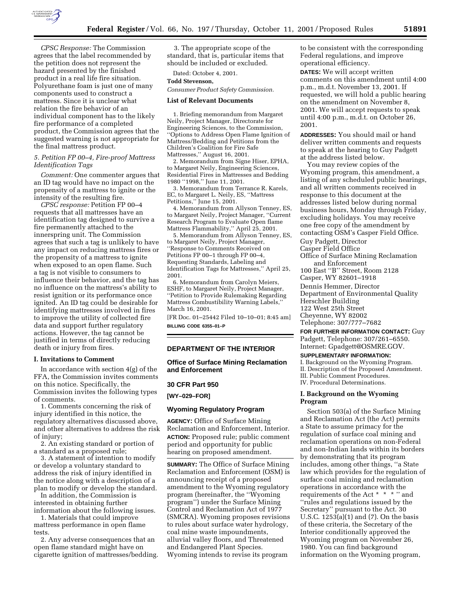

*CPSC Response:* The Commission agrees that the label recommended by the petition does not represent the hazard presented by the finished product in a real life fire situation. Polyurethane foam is just one of many components used to construct a mattress. Since it is unclear what relation the fire behavior of an individual component has to the likely fire performance of a completed product, the Commission agrees that the suggested warning is not appropriate for the final mattress product.

## *5. Petition FP 00–4, Fire-proof Mattress Identification Tags*

*Comment:* One commenter argues that an ID tag would have no impact on the propensity of a mattress to ignite or the intensity of the resulting fire.

*CPSC response:* Petition FP 00–4 requests that all mattresses have an identification tag designed to survive a fire permanently attached to the innerspring unit. The Commission agrees that such a tag is unlikely to have any impact on reducing mattress fires or the propensity of a mattress to ignite when exposed to an open flame. Such a tag is not visible to consumers to influence their behavior, and the tag has no influence on the mattress's ability to resist ignition or its performance once ignited. An ID tag could be desirable for identifying mattresses involved in fires to improve the utility of collected fire data and support further regulatory actions. However, the tag cannot be justified in terms of directly reducing death or injury from fires.

## **I. Invitations to Comment**

In accordance with section 4(g) of the FFA, the Commission invites comments on this notice. Specifically, the Commission invites the following types of comments.

1. Comments concerning the risk of injury identified in this notice, the regulatory alternatives discussed above, and other alternatives to address the risk of injury;

2. An existing standard or portion of a standard as a proposed rule;

3. A statement of intention to modify or develop a voluntary standard to address the risk of injury identified in the notice along with a description of a plan to modify or develop the standard.

In addition, the Commission is interested in obtaining further information about the following issues.

1. Materials that could improve mattress performance in open flame

tests. 2. Any adverse consequences that an

open flame standard might have on cigarette ignition of mattresses/bedding.

3. The appropriate scope of the standard, that is, particular items that should be included or excluded.

Dated: October 4, 2001.

# **Todd Stevenson,**

*Consumer Product Safety Commission.*

### **List of Relevant Documents**

1. Briefing memorandum from Margaret Neily, Project Manager, Directorate for Engineering Sciences, to the Commission, ''Options to Address Open Flame Ignition of Mattress/Bedding and Petitions from the Children's Coalition for Fire Safe Mattresses,'' August 16, 2001.

2. Memorandum from Signe Hiser, EPHA, to Margaret Neily, Engineering Sciences, Residential Fires in Mattresses and Bedding 1980 ''1998,'' June 11, 2001.

3. Memorandum from Terrance R. Karels, EC, to Margaret L. Neily, ES, ''Mattress Petitions,'' June 15, 2001.

4. Memorandum from Allyson Tenney, ES, to Margaret Neily, Project Manager, ''Current Research Program to Evaluate Open flame Mattress Flammability,'' April 25, 2001.

5. Memorandum from Allyson Tenney, ES, to Margaret Neily, Project Manager, ''Response to Comments Received on Petitions FP 00–1 through FP 00–4, Requesting Standards, Labeling and Identification Tags for Mattresses,'' April 25, 2001.

6. Memorandum from Carolyn Meiers, ESHF, to Margaret Neily, Project Manager, ''Petition to Provide Rulemaking Regarding Mattress Combustibility Warning Labels,'' March 16, 2001.

[FR Doc. 01–25442 Filed 10–10–01; 8:45 am] **BILLING CODE 6355–01–P**

## **DEPARTMENT OF THE INTERIOR**

**Office of Surface Mining Reclamation and Enforcement**

### **30 CFR Part 950**

**[WY–029–FOR]**

## **Wyoming Regulatory Program**

**AGENCY:** Office of Surface Mining Reclamation and Enforcement, Interior. **ACTION:** Proposed rule; public comment period and opportunity for public hearing on proposed amendment.

**SUMMARY:** The Office of Surface Mining Reclamation and Enforcement (OSM) is announcing receipt of a proposed amendment to the Wyoming regulatory program (hereinafter, the ''Wyoming program'') under the Surface Mining Control and Reclamation Act of 1977 (SMCRA). Wyoming proposes revisions to rules about surface water hydrology, coal mine waste impoundments, alluvial valley floors, and Threatened and Endangered Plant Species. Wyoming intends to revise its program

to be consistent with the corresponding Federal regulations, and improve operational efficiency.

**DATES:** We will accept written comments on this amendment until 4:00 p.m., m.d.t. November 13, 2001. If requested, we will hold a public hearing on the amendment on November 8, 2001. We will accept requests to speak until 4:00 p.m., m.d.t. on October 26, 2001.

**ADDRESSES:** You should mail or hand deliver written comments and requests to speak at the hearing to Guy Padgett at the address listed below.

You may review copies of the Wyoming program, this amendment, a listing of any scheduled public hearings, and all written comments received in response to this document at the addresses listed below during normal business hours, Monday through Friday, excluding holidays. You may receive one free copy of the amendment by contacting OSM's Casper Field Office.

Guy Padgett, Director

Casper Field Office Office of Surface Mining Reclamation and Enforcement 100 East ''B'' Street, Room 2128

Casper, WY 82601–1918

Dennis Hemmer, Director Department of Environmental Quality Herschler Building 122 West 25th Street Cheyenne, WY 82002

Telephone: 307/777–7682

**FOR FURTHER INFORMATION CONTACT:** Guy Padgett, Telephone: 307/261–6550. Internet: Gpadgett@OSMRE.GOV.

### **SUPPLEMENTARY INFORMATION:**

I. Background on the Wyoming Program. II. Description of the Proposed Amendment. III. Public Comment Procedures. IV. Procedural Determinations.

## **I. Background on the Wyoming Program**

Section 503(a) of the Surface Mining and Reclamation Act (the Act) permits a State to assume primacy for the regulation of surface coal mining and reclamation operations on non-Federal and non-Indian lands within its borders by demonstrating that its program includes, among other things, ''a State law which provides for the regulation of surface coal mining and reclamation operations in accordance with the requirements of the Act \* \* \* '' and ''rules and regulations issued by the Secretary'' pursuant to the Act. 30 U.S.C. 1253(a)(1) and (7). On the basis of these criteria, the Secretary of the Interior conditionally approved the Wyoming program on November 26, 1980. You can find background information on the Wyoming program,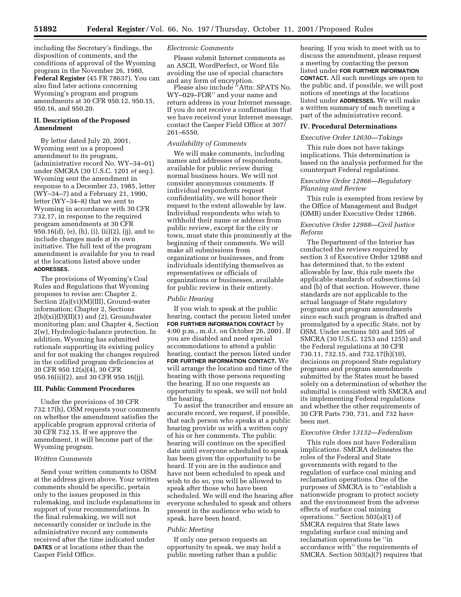including the Secretary's findings, the disposition of comments, and the conditions of approval of the Wyoming program in the November 26, 1980, **Federal Register** (45 FR 78637). You can also find later actions concerning Wyoming's program and program amendments at 30 CFR 950.12, 950.15, 950.16, and 950.20.

## **II. Description of the Proposed Amendment**

By letter dated July 20, 2001, Wyoming sent us a proposed amendment to its program, (administrative record No. WY–34–01) under SMCRA (30 U.S.C. 1201 *et seq.*). Wyoming sent the amendment in response to a December 23, 1985, letter (WY–34–7) and a February 21, 1990, letter (WY–34–8) that we sent to Wyoming in accordance with 30 CFR 732.17, in response to the required program amendments at 30 CFR 950.16(d), (e), (h), (i), (ii)(2), (jj), and to include changes made at its own initiative. The full text of the program amendment is available for you to read at the locations listed above under **ADDRESSES**.

The provisions of Wyoming's Coal Rules and Regulations that Wyoming proposes to revise are: Chapter 2, Section 2(a)(vi)(M)(III), Ground-water information; Chapter 2, Sections  $2(b)(xi)(D)(II)(1)$  and  $(2)$ , Groundwater monitoring plan; and Chapter 4, Section 2(w), Hydrologic-balance protection. In addition, Wyoming has submitted rationale supporting its existing policy and for not making the changes required in the codified program deficiencies at 30 CFR 950.12(a)(4), 30 CFR 950.16(ii)(2), and 30 CFR 950.16(jj).

### **III. Public Comment Procedures**

Under the provisions of 30 CFR 732.17(h), OSM requests your comments on whether the amendment satisfies the applicable program approval criteria of 30 CFR 732.15. If we approve the amendment, it will become part of the Wyoming program.

## *Written Comments*

Send your written comments to OSM at the address given above. Your written comments should be specific, pertain only to the issues proposed in this rulemaking, and include explanations in support of your recommendations. In the final rulemaking, we will not necessarily consider or include in the administrative record any comments received after the time indicated under **DATES** or at locations other than the Casper Field Office.

## *Electronic Comments*

Please submit Internet comments as an ASCII, WordPerfect, or Word file avoiding the use of special characters and any form of encryption.

Please also include ''Attn: SPATS No. WY–029–FOR'' and your name and return address in your Internet message. If you do not receive a confirmation that we have received your Internet message, contact the Casper Field Office at 307/ 261–6550.

### *Availability of Comments*

We will make comments, including names and addresses of respondents, available for public review during normal business hours. We will not consider anonymous comments. If individual respondents request confidentiality, we will honor their request to the extent allowable by law. Individual respondents who wish to withhold their name or address from public review, except for the city or town, must state this prominently at the beginning of their comments. We will make all submissions from organizations or businesses, and from individuals identifying themselves as representatives or officials of organizations or businesses, available for public review in their entirety.

### *Public Hearing*

If you wish to speak at the public hearing, contact the person listed under **FOR FURTHER INFORMATION CONTACT** by 4:00 p.m., m.d.t. on October 26, 2001. If you are disabled and need special accommodations to attend a public hearing, contact the person listed under **FOR FURTHER INFORMATION CONTACT.** We will arrange the location and time of the hearing with those persons requesting the hearing. If no one requests an opportunity to speak, we will not hold the hearing.

To assist the transcriber and ensure an accurate record, we request, if possible, that each person who speaks at a public hearing provide us with a written copy of his or her comments. The public hearing will continue on the specified date until everyone scheduled to speak has been given the opportunity to be heard. If you are in the audience and have not been scheduled to speak and wish to do so, you will be allowed to speak after those who have been scheduled. We will end the hearing after everyone scheduled to speak and others present in the audience who wish to speak, have been heard.

### *Public Meeting*

If only one person requests an opportunity to speak, we may hold a public meeting rather than a public

hearing. If you wish to meet with us to discuss the amendment, please request a meeting by contacting the person listed under **FOR FURTHER INFORMATION CONTACT.** All such meetings are open to the public and, if possible, we will post notices of meetings at the locations listed under **ADDRESSES.** We will make a written summary of each meeting a part of the administrative record.

#### **IV. Procedural Determinations**

### *Executive Order 12630—Takings*

This rule does not have takings implications. This determination is based on the analysis performed for the counterpart Federal regulations.

## *Executive Order 12866—Regulatory Planning and Review*

This rule is exempted from review by the Office of Management and Budget (OMB) under Executive Order 12866.

## *Executive Order 12988—Civil Justice Reform*

The Department of the Interior has conducted the reviews required by section 3 of Executive Order 12988 and has determined that, to the extent allowable by law, this rule meets the applicable standards of subsections (a) and (b) of that section. However, these standards are not applicable to the actual language of State regulatory programs and program amendments since each such program is drafted and promulgated by a specific State, not by OSM. Under sections 503 and 505 of SMCRA (30 U.S.C. 1253 and 1255) and the Federal regulations at 30 CFR 730.11, 732.15, and 732.17(h)(10), decisions on proposed State regulatory programs and program amendments submitted by the States must be based solely on a determination of whether the submittal is consistent with SMCRA and its implementing Federal regulations and whether the other requirements of 30 CFR Parts 730, 731, and 732 have been met.

## *Executive Order 13132—Federalism*

This rule does not have Federalism implications. SMCRA delineates the roles of the Federal and State governments with regard to the regulation of surface coal mining and reclamation operations. One of the purposes of SMCRA is to ''establish a nationwide program to protect society and the environment from the adverse effects of surface coal mining operations." Section  $503(a)(1)$  of SMCRA requires that State laws regulating surface coal mining and reclamation operations be ''in accordance with'' the requirements of SMCRA. Section 503(a)(7) requires that